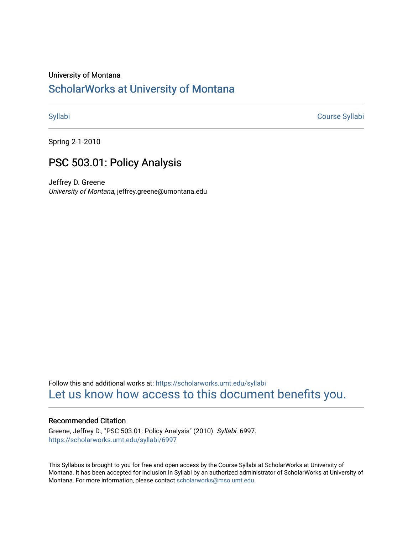#### University of Montana

# [ScholarWorks at University of Montana](https://scholarworks.umt.edu/)

[Syllabi](https://scholarworks.umt.edu/syllabi) [Course Syllabi](https://scholarworks.umt.edu/course_syllabi) 

Spring 2-1-2010

# PSC 503.01: Policy Analysis

Jeffrey D. Greene University of Montana, jeffrey.greene@umontana.edu

Follow this and additional works at: [https://scholarworks.umt.edu/syllabi](https://scholarworks.umt.edu/syllabi?utm_source=scholarworks.umt.edu%2Fsyllabi%2F6997&utm_medium=PDF&utm_campaign=PDFCoverPages)  [Let us know how access to this document benefits you.](https://goo.gl/forms/s2rGfXOLzz71qgsB2) 

#### Recommended Citation

Greene, Jeffrey D., "PSC 503.01: Policy Analysis" (2010). Syllabi. 6997. [https://scholarworks.umt.edu/syllabi/6997](https://scholarworks.umt.edu/syllabi/6997?utm_source=scholarworks.umt.edu%2Fsyllabi%2F6997&utm_medium=PDF&utm_campaign=PDFCoverPages)

This Syllabus is brought to you for free and open access by the Course Syllabi at ScholarWorks at University of Montana. It has been accepted for inclusion in Syllabi by an authorized administrator of ScholarWorks at University of Montana. For more information, please contact [scholarworks@mso.umt.edu.](mailto:scholarworks@mso.umt.edu)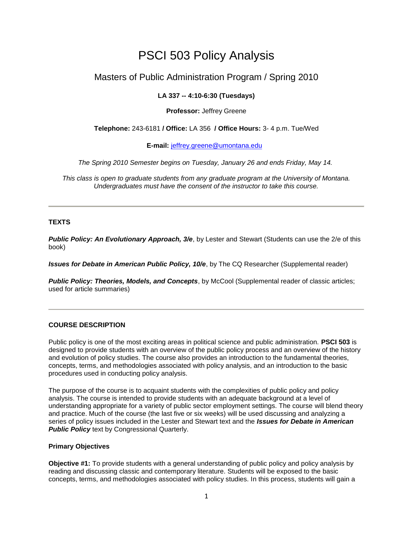# PSCI 503 Policy Analysis

# Masters of Public Administration Program / Spring 2010

### **LA 337 -- 4:10-6:30 (Tuesdays)**

#### **Professor:** Jeffrey Greene

#### **Telephone:** 243-6181 **/ Office:** LA 356 **/ Office Hours:** 3- 4 p.m. Tue/Wed

**E-mail:** [jeffrey.greene@umontana.edu](mailto:jeffrey.greene@umontana.edu) 

*The Spring 2010 Semester begins on Tuesday, January 26 and ends Friday, May 14.* 

*This class is open to graduate students from any graduate program at the University of Montana. Undergraduates must have the consent of the instructor to take this course.*

#### **TEXTS**

*Public Policy: An Evolutionary Approach, 3/e*, by Lester and Stewart (Students can use the 2/e of this book)

*Issues for Debate in American Public Policy, 10/e*, by The CQ Researcher (Supplemental reader)

**Public Policy: Theories, Models, and Concepts**, by McCool (Supplemental reader of classic articles; used for article summaries)

### **COURSE DESCRIPTION**

Public policy is one of the most exciting areas in political science and public administration. **PSCI 503** is designed to provide students with an overview of the public policy process and an overview of the history and evolution of policy studies. The course also provides an introduction to the fundamental theories, concepts, terms, and methodologies associated with policy analysis, and an introduction to the basic procedures used in conducting policy analysis.

The purpose of the course is to acquaint students with the complexities of public policy and policy analysis. The course is intended to provide students with an adequate background at a level of understanding appropriate for a variety of public sector employment settings. The course will blend theory and practice. Much of the course (the last five or six weeks) will be used discussing and analyzing a series of policy issues included in the Lester and Stewart text and the *Issues for Debate in American*  **Public Policy** text by Congressional Quarterly.

#### **Primary Objectives**

**Objective #1:** To provide students with a general understanding of public policy and policy analysis by reading and discussing classic and contemporary literature. Students will be exposed to the basic concepts, terms, and methodologies associated with policy studies. In this process, students will gain a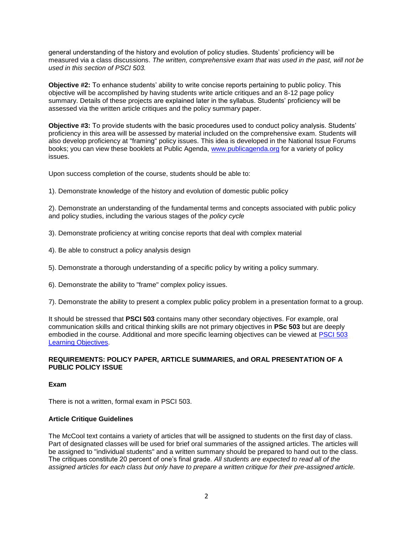general understanding of the history and evolution of policy studies. Students' proficiency will be measured via a class discussions. *The written, comprehensive exam that was used in the past, will not be used in this section of PSCI 503.*

**Objective #2:** To enhance students' ability to write concise reports pertaining to public policy. This objective will be accomplished by having students write article critiques and an 8-12 page policy summary. Details of these projects are explained later in the syllabus. Students' proficiency will be assessed via the written article critiques and the policy summary paper.

**Objective #3:** To provide students with the basic procedures used to conduct policy analysis. Students' proficiency in this area will be assessed by material included on the comprehensive exam. Students will also develop proficiency at "framing" policy issues. This idea is developed in the National Issue Forums books; you can view these booklets at Public Agenda, [www.publicagenda.org](http://www.publicagenda.org/) for a variety of policy issues.

Upon success completion of the course, students should be able to:

1). Demonstrate knowledge of the history and evolution of domestic public policy

2). Demonstrate an understanding of the fundamental terms and concepts associated with public policy and policy studies, including the various stages of the *policy cycle*

- 3). Demonstrate proficiency at writing concise reports that deal with complex material
- 4). Be able to construct a policy analysis design
- 5). Demonstrate a thorough understanding of a specific policy by writing a policy summary.
- 6). Demonstrate the ability to "frame" complex policy issues.

7). Demonstrate the ability to present a complex public policy problem in a presentation format to a group.

It should be stressed that **PSCI 503** contains many other secondary objectives. For example, oral communication skills and critical thinking skills are not primary objectives in **PSc 503** but are deeply embodied in the course. Additional and more specific learning objectives can be viewed at [PSCI 503](http://www.cas.umt.edu/polsci/faculty/greene/503Learningobjectives.htm)  [Learning Objectives.](http://www.cas.umt.edu/polsci/faculty/greene/503Learningobjectives.htm)

#### **REQUIREMENTS: POLICY PAPER, ARTICLE SUMMARIES, and ORAL PRESENTATION OF A PUBLIC POLICY ISSUE**

**Exam**

There is not a written, formal exam in PSCI 503.

#### **Article Critique Guidelines**

The McCool text contains a variety of articles that will be assigned to students on the first day of class. Part of designated classes will be used for brief oral summaries of the assigned articles. The articles will be assigned to "individual students" and a written summary should be prepared to hand out to the class. The critiques constitute 20 percent of one's final grade. *All students are expected to read all of the assigned articles for each class but only have to prepare a written critique for their pre-assigned article.*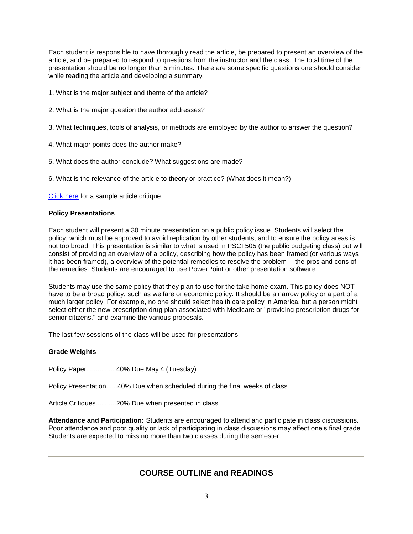Each student is responsible to have thoroughly read the article, be prepared to present an overview of the article, and be prepared to respond to questions from the instructor and the class. The total time of the presentation should be no longer than 5 minutes. There are some specific questions one should consider while reading the article and developing a summary.

1. What is the major subject and theme of the article?

- 2. What is the major question the author addresses?
- 3. What techniques, tools of analysis, or methods are employed by the author to answer the question?
- 4. What major points does the author make?
- 5. What does the author conclude? What suggestions are made?
- 6. What is the relevance of the article to theory or practice? (What does it mean?)

[Click here](http://www.cas.umt.edu/polsci/faculty/greene/samplearticlesummary.htm) for a sample article critique.

#### **Policy Presentations**

Each student will present a 30 minute presentation on a public policy issue. Students will select the policy, which must be approved to avoid replication by other students, and to ensure the policy areas is not too broad. This presentation is similar to what is used in PSCI 505 (the public budgeting class) but will consist of providing an overview of a policy, describing how the policy has been framed (or various ways it has been framed), a overview of the potential remedies to resolve the problem -- the pros and cons of the remedies. Students are encouraged to use PowerPoint or other presentation software.

Students may use the same policy that they plan to use for the take home exam. This policy does NOT have to be a broad policy, such as welfare or economic policy. It should be a narrow policy or a part of a much larger policy. For example, no one should select health care policy in America, but a person might select either the new prescription drug plan associated with Medicare or "providing prescription drugs for senior citizens," and examine the various proposals.

The last few sessions of the class will be used for presentations.

#### **Grade Weights**

Policy Paper............... 40% Due May 4 (Tuesday)

Policy Presentation......40% Due when scheduled during the final weeks of class

Article Critiques...........20% Due when presented in class

**Attendance and Participation:** Students are encouraged to attend and participate in class discussions. Poor attendance and poor quality or lack of participating in class discussions may affect one's final grade. Students are expected to miss no more than two classes during the semester.

# **COURSE OUTLINE and READINGS**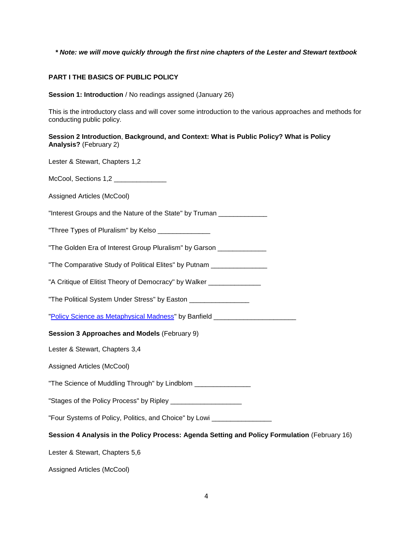#### *\* Note: we will move quickly through the first nine chapters of the Lester and Stewart textbook*

#### **PART I THE BASICS OF PUBLIC POLICY**

**Session 1: Introduction** / No readings assigned (January 26)

This is the introductory class and will cover some introduction to the various approaches and methods for conducting public policy.

**Session 2 Introduction**, **Background, and Context: What is Public Policy? What is Policy Analysis?** (February 2)

Lester & Stewart, Chapters 1,2

McCool, Sections 1,2

| Assigned Articles (McCool) |  |
|----------------------------|--|
|                            |  |

"Interest Groups and the Nature of the State" by Truman \_\_\_\_\_\_\_\_\_\_\_\_\_

"Three Types of Pluralism" by Kelso \_\_\_\_\_\_\_\_\_\_\_\_\_\_\_

"The Golden Era of Interest Group Pluralism" by Garson

"The Comparative Study of Political Elites" by Putnam

"A Critique of Elitist Theory of Democracy" by Walker \_\_\_\_\_\_\_\_\_\_\_\_\_\_\_\_\_\_\_\_\_\_\_\_\_\_

"The Political System Under Stress" by Easton \_\_\_\_\_\_\_\_\_\_\_\_\_\_\_\_

["Policy Science as Metaphysical Madness"](http://www.cas.umt.edu/polsci/faculty/greene/PSC503/Banfield.pdf) by Banfield \_\_\_\_\_\_\_\_\_\_\_\_\_\_\_\_\_\_\_\_\_\_

#### **Session 3 Approaches and Models** (February 9)

Lester & Stewart, Chapters 3,4

Assigned Articles (McCool)

"The Science of Muddling Through" by Lindblom \_\_\_\_\_\_\_\_\_\_\_\_\_\_\_\_

"Stages of the Policy Process" by Ripley \_\_\_\_\_\_\_\_\_\_\_\_\_\_\_\_\_\_\_

"Four Systems of Policy, Politics, and Choice" by Lowi \_\_\_\_\_\_\_\_\_\_\_\_\_\_\_\_

**Session 4 Analysis in the Policy Process: Agenda Setting and Policy Formulation** (February 16)

Lester & Stewart, Chapters 5,6

Assigned Articles (McCool)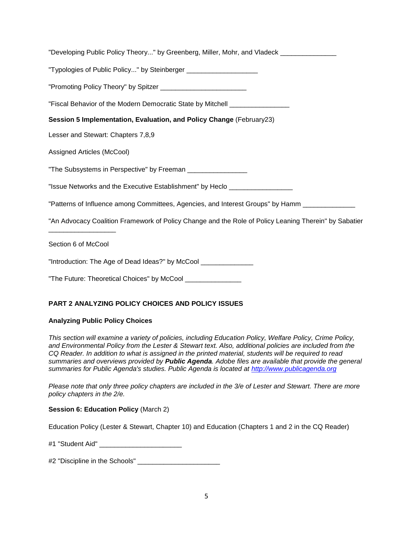| "Developing Public Policy Theory" by Greenberg, Miller, Mohr, and Vladeck ________________            |
|-------------------------------------------------------------------------------------------------------|
| "Typologies of Public Policy" by Steinberger ________________________________                         |
|                                                                                                       |
| "Fiscal Behavior of the Modern Democratic State by Mitchell ____________________                      |
| Session 5 Implementation, Evaluation, and Policy Change (February23)                                  |
| Lesser and Stewart: Chapters 7,8,9                                                                    |
| Assigned Articles (McCool)                                                                            |
| "The Subsystems in Perspective" by Freeman _________________                                          |
| "Issue Networks and the Executive Establishment" by Heclo ______________________                      |
| "Patterns of Influence among Committees, Agencies, and Interest Groups" by Hamm __________________    |
| "An Advocacy Coalition Framework of Policy Change and the Role of Policy Leaning Therein" by Sabatier |
| Section 6 of McCool                                                                                   |
| "Introduction: The Age of Dead Ideas?" by McCool ________________                                     |

"The Future: Theoretical Choices" by McCool \_\_\_\_\_\_\_\_\_\_\_\_\_\_

# **PART 2 ANALYZING POLICY CHOICES AND POLICY ISSUES**

### **Analyzing Public Policy Choices**

*This section will examine a variety of policies, including Education Policy, Welfare Policy, Crime Policy, and Environmental Policy from the Lester & Stewart text. Also, additional policies are included from the CQ Reader. In addition to what is assigned in the printed material, students will be required to read summaries and overviews provided by Public Agenda. Adobe files are available that provide the general summaries for Public Agenda's studies. Public Agenda is located at [http://www.publicagenda.org](http://www.publicagenda.org/)*

*Please note that only three policy chapters are included in the 3/e of Lester and Stewart. There are more policy chapters in the 2/e.* 

### **Session 6: Education Policy** (March 2)

Education Policy (Lester & Stewart, Chapter 10) and Education (Chapters 1 and 2 in the CQ Reader)

#1 "Student Aid" \_\_\_\_\_\_\_\_\_\_\_\_\_\_\_\_\_\_\_\_\_\_

#2 "Discipline in the Schools"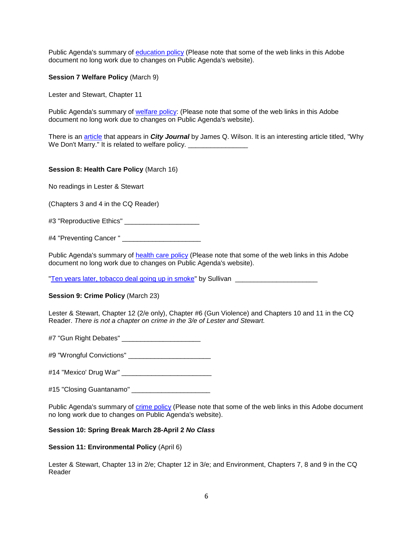Public Agenda's summary of [education policy](http://www.cas.umt.edu/polsci/faculty/greene/education.pdf) (Please note that some of the web links in this Adobe document no long work due to changes on Public Agenda's website).

**Session 7 Welfare Policy** (March 9)

Lester and Stewart, Chapter 11

Public Agenda's summary of [welfare policy:](http://www.cas.umt.edu/polsci/faculty/greene/welfare.pdf) (Please note that some of the web links in this Adobe document no long work due to changes on Public Agenda's website).

There is an [article](http://www.city-journal.org/html/12_1_why_we.html) that appears in *City Journal* by James Q. Wilson. It is an interesting article titled, "Why We Don't Marry." It is related to welfare policy. \_\_\_\_\_\_\_\_\_\_\_\_\_\_\_\_\_\_\_\_\_\_\_\_\_\_\_\_\_\_

#### **Session 8: Health Care Policy** (March 16)

No readings in Lester & Stewart

(Chapters 3 and 4 in the CQ Reader)

#3 "Reproductive Ethics" \_\_\_\_\_\_\_\_\_\_\_\_\_\_\_\_\_\_\_\_

#4 "Preventing Cancer " \_\_\_\_\_\_\_\_\_\_\_\_\_\_\_\_\_\_\_\_\_

Public Agenda's summary of [health care policy](http://www.cas.umt.edu/polsci/faculty/greene/healthcare.pdf) (Please note that some of the web links in this Adobe document no long work due to changes on Public Agenda's website).

["Ten years later, tobacco deal going up in smoke"](http://www.cas.umt.edu/polsci/faculty/greene/psc503/statestobacco.pdf) by Sullivan \_\_\_\_\_\_\_\_\_\_\_\_\_\_\_\_\_\_

#### **Session 9: Crime Policy** (March 23)

Lester & Stewart, Chapter 12 (2/e only), Chapter #6 (Gun Violence) and Chapters 10 and 11 in the CQ Reader. *There is not a chapter on crime in the 3/e of Lester and Stewart.*

#7 "Gun Right Debates" \_\_\_\_\_\_\_\_\_\_\_\_\_\_\_\_\_\_\_\_\_

#9 "Wrongful Convictions" \_\_\_\_\_\_\_\_\_\_\_\_\_\_\_\_\_\_\_\_\_\_

#14 "Mexico' Drug War" \_\_\_\_\_\_\_\_\_\_\_\_\_\_\_\_\_\_\_\_\_\_\_\_

#15 "Closing Guantanamo" \_\_\_\_\_\_\_\_\_\_\_\_\_\_\_\_\_\_\_\_\_

Public Agenda's summary of [crime policy](http://www.cas.umt.edu/polsci/faculty/greene/crime.pdf) (Please note that some of the web links in this Adobe document no long work due to changes on Public Agenda's website).

#### **Session 10: Spring Break March 28-April 2** *No Class*

#### **Session 11: Environmental Policy** (April 6)

Lester & Stewart, Chapter 13 in 2/e; Chapter 12 in 3/e; and Environment, Chapters 7, 8 and 9 in the CQ Reader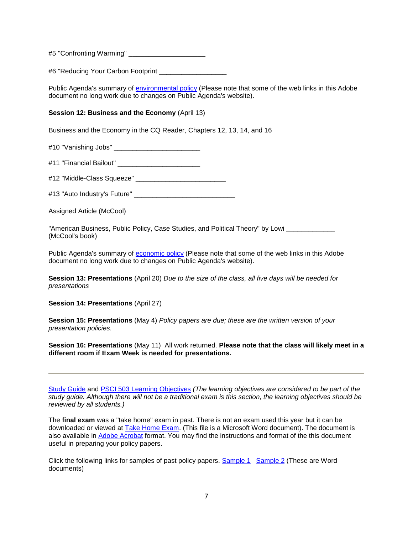#5 "Confronting Warming" \_\_\_\_\_\_\_\_\_\_\_\_\_\_\_\_\_\_\_

#6 "Reducing Your Carbon Footprint

Public Agenda's summary of [environmental policy](http://www.cas.umt.edu/polsci/faculty/greene/environment.pdf) (Please note that some of the web links in this Adobe document no long work due to changes on Public Agenda's website).

#### **Session 12: Business and the Economy** (April 13)

Business and the Economy in the CQ Reader, Chapters 12, 13, 14, and 16

#10 "Vanishing Jobs" \_\_\_\_\_\_\_\_\_\_\_\_\_\_\_\_\_\_\_\_\_\_\_

#11 "Financial Bailout" \_\_\_\_\_\_\_\_\_\_\_\_\_\_\_\_\_\_\_\_\_\_

#12 "Middle-Class Squeeze" \_\_\_\_\_\_\_\_\_\_\_\_\_\_\_\_\_\_\_\_\_\_\_\_

#13 "Auto Industry's Future"

Assigned Article (McCool)

"American Business, Public Policy, Case Studies, and Political Theory" by Lowi (McCool's book)

Public Agenda's summary of [economic policy](http://www.cas.umt.edu/polsci/faculty/greene/economy.pdf) (Please note that some of the web links in this Adobe document no long work due to changes on Public Agenda's website).

**Session 13: Presentations** (April 20) *Due to the size of the class, all five days will be needed for presentations* 

**Session 14: Presentations** (April 27)

**Session 15: Presentations** (May 4) *Policy papers are due; these are the written version of your presentation policies.* 

**Session 16: Presentations** (May 11) All work returned. **Please note that the class will likely meet in a different room if Exam Week is needed for presentations.** 

[Study Guide](http://www.cas.umt.edu/polsci/faculty/greene/psc503study.htm) and [PSCI 503 Learning Objectives](http://www.cas.umt.edu/polsci/faculty/greene/503Learningobjectives.htm) *(The learning objectives are considered to be part of the study guide. Although there will not be a traditional exam is this section, the learning objectives should be reviewed by all students.)*

The **final exam** was a "take home" exam in past. There is not an exam used this year but it can be downloaded or viewed at [Take Home Exam.](http://www.cas.umt.edu/polsci/faculty/greene/503exam2006.doc) (This file is a Microsoft Word document). The document is also available in [Adobe Acrobat](http://www.cas.umt.edu/polsci/faculty/greene/503exam2006.pdf) format. You may find the instructions and format of the this document useful in preparing your policy papers.

Click the following links for samples of past policy papers. [Sample 1](http://www.cas.umt.edu/polsci/faculty/greene/psc503/sample1.doc) [Sample 2](http://www.cas.umt.edu/polsci/faculty/greene/psc503/sample2.doc) (These are Word documents)